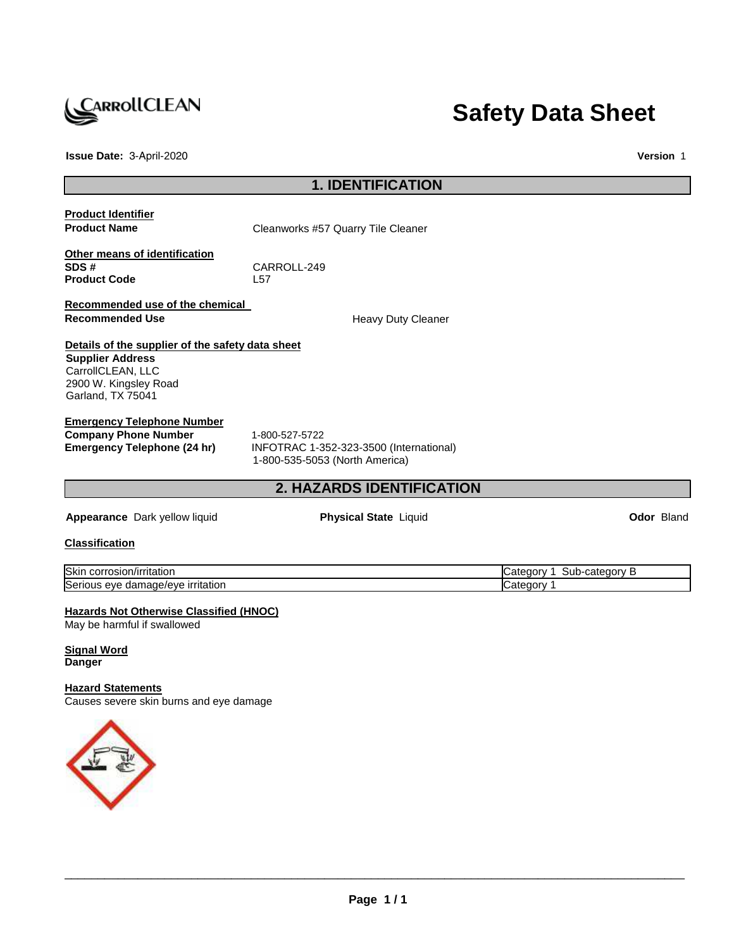

# **Safety Data Sheet**

**Issue Date:** 3-April-2020 **Version** 1

# **1. IDENTIFICATION**

| <b>Product Identifier</b><br><b>Product Name</b>                                                                                               | Cleanworks #57 Quarry Tile Cleaner                                                          |                           |            |
|------------------------------------------------------------------------------------------------------------------------------------------------|---------------------------------------------------------------------------------------------|---------------------------|------------|
| Other means of identification<br>SDS#<br><b>Product Code</b>                                                                                   | CARROLL-249<br>L57                                                                          |                           |            |
| Recommended use of the chemical<br><b>Recommended Use</b>                                                                                      | <b>Heavy Duty Cleaner</b>                                                                   |                           |            |
| Details of the supplier of the safety data sheet<br><b>Supplier Address</b><br>CarrollCLEAN, LLC<br>2900 W. Kingsley Road<br>Garland, TX 75041 |                                                                                             |                           |            |
| <b>Emergency Telephone Number</b><br><b>Company Phone Number</b><br>Emergency Telephone (24 hr)                                                | 1-800-527-5722<br>INFOTRAC 1-352-323-3500 (International)<br>1-800-535-5053 (North America) |                           |            |
|                                                                                                                                                | <b>2. HAZARDS IDENTIFICATION</b>                                                            |                           |            |
| Appearance Dark yellow liquid                                                                                                                  | <b>Physical State Liquid</b>                                                                |                           | Odor Bland |
| <b>Classification</b>                                                                                                                          |                                                                                             |                           |            |
| Skin corrosion/irritation                                                                                                                      |                                                                                             | Category 1 Sub-category B |            |
| Serious eye damage/eye irritation                                                                                                              |                                                                                             | Category 1                |            |
| <b>Hazards Not Otherwise Classified (HNOC)</b><br>May be harmful if swallowed<br><b>Signal Word</b><br><b>Danger</b>                           |                                                                                             |                           |            |
| <b>Hazard Statements</b><br>Causes severe skin burns and eye damage                                                                            |                                                                                             |                           |            |

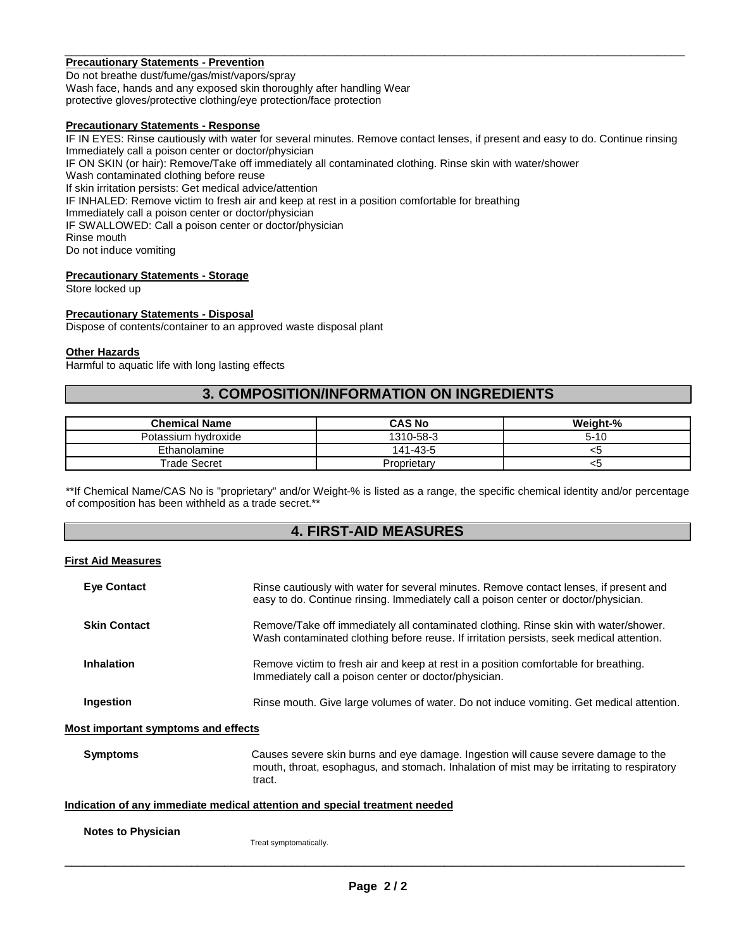#### \_\_\_\_\_\_\_\_\_\_\_\_\_\_\_\_\_\_\_\_\_\_\_\_\_\_\_\_\_\_\_\_\_\_\_\_\_\_\_\_\_\_\_\_\_\_\_\_\_\_\_\_\_\_\_\_\_\_\_\_\_\_\_\_\_\_\_\_\_\_\_\_\_\_\_\_\_\_\_\_\_\_\_\_\_\_\_\_\_\_\_\_\_ **Precautionary Statements - Prevention**

Do not breathe dust/fume/gas/mist/vapors/spray Wash face, hands and any exposed skin thoroughly after handling Wear protective gloves/protective clothing/eye protection/face protection

#### **Precautionary Statements - Response**

IF IN EYES: Rinse cautiously with water for several minutes. Remove contact lenses, if present and easy to do. Continue rinsing Immediately call a poison center or doctor/physician

IF ON SKIN (or hair): Remove/Take off immediately all contaminated clothing. Rinse skin with water/shower

Wash contaminated clothing before reuse

If skin irritation persists: Get medical advice/attention

IF INHALED: Remove victim to fresh air and keep at rest in a position comfortable for breathing

Immediately call a poison center or doctor/physician

IF SWALLOWED: Call a poison center or doctor/physician

Rinse mouth

Do not induce vomiting

## **Precautionary Statements - Storage**

Store locked up

#### **Precautionary Statements - Disposal**

Dispose of contents/container to an approved waste disposal plant

#### **Other Hazards**

Harmful to aquatic life with long lasting effects

## **3. COMPOSITION/INFORMATION ON INGREDIENTS**

| <b>Chemical Name</b> | <b>CAS No</b> | Weight-% |
|----------------------|---------------|----------|
| Potassium hvdroxide  | 1310-58-3     | $5 - 10$ |
| Ethanolamine         | 141-43-5      |          |
| Trade Secret         | Proprietary   |          |

\*\*If Chemical Name/CAS No is "proprietary" and/or Weight-% is listed as a range, the specific chemical identity and/or percentage of composition has been withheld as a trade secret.\*\*

## **4. FIRST-AID MEASURES**

#### **First Aid Measures**

| <b>Eye Contact</b>                  | Rinse cautiously with water for several minutes. Remove contact lenses, if present and<br>easy to do. Continue rinsing. Immediately call a poison center or doctor/physician.              |
|-------------------------------------|--------------------------------------------------------------------------------------------------------------------------------------------------------------------------------------------|
| <b>Skin Contact</b>                 | Remove/Take off immediately all contaminated clothing. Rinse skin with water/shower.<br>Wash contaminated clothing before reuse. If irritation persists, seek medical attention.           |
| <b>Inhalation</b>                   | Remove victim to fresh air and keep at rest in a position comfortable for breathing.<br>Immediately call a poison center or doctor/physician.                                              |
| Ingestion                           | Rinse mouth. Give large volumes of water. Do not induce vomiting. Get medical attention.                                                                                                   |
| Most important symptoms and effects |                                                                                                                                                                                            |
| <b>Symptoms</b>                     | Causes severe skin burns and eye damage. Ingestion will cause severe damage to the<br>mouth, throat, esophagus, and stomach. Inhalation of mist may be irritating to respiratory<br>tract. |
|                                     | Indication of any immediate medical attention and special treatment needed                                                                                                                 |
| <b>Notes to Physician</b>           | Treat symptomatically.                                                                                                                                                                     |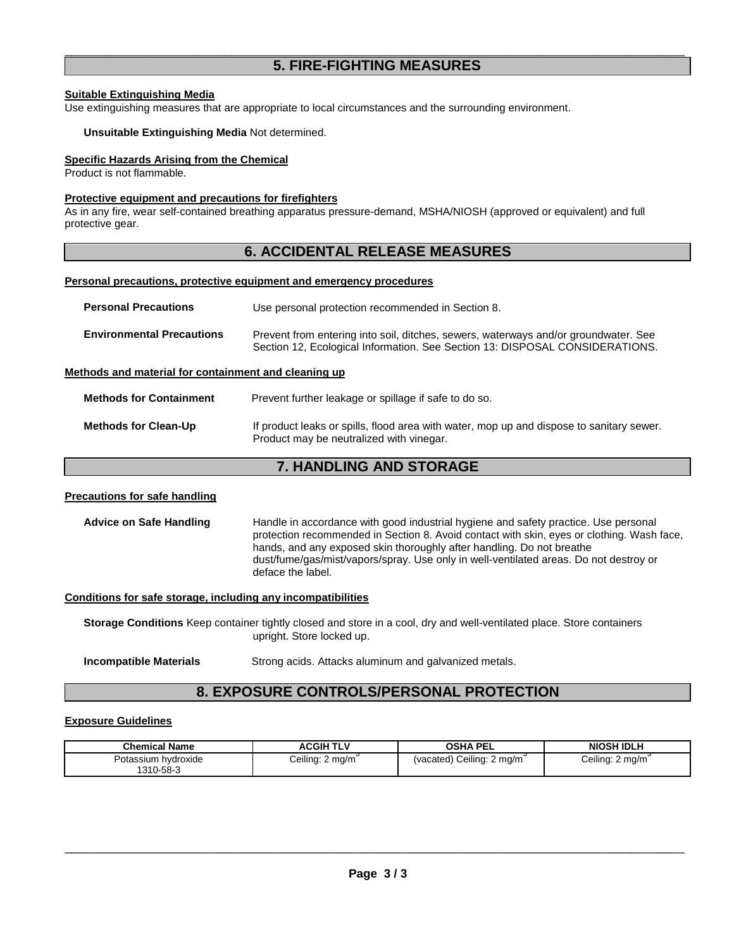## \_\_\_\_\_\_\_\_\_\_\_\_\_\_\_\_\_\_\_\_\_\_\_\_\_\_\_\_\_\_\_\_\_\_\_\_\_\_\_\_\_\_\_\_\_\_\_\_\_\_\_\_\_\_\_\_\_\_\_\_\_\_\_\_\_\_\_\_\_\_\_\_\_\_\_\_\_\_\_\_\_\_\_\_\_\_\_\_\_\_\_\_\_ **5. FIRE-FIGHTING MEASURES**

#### **Suitable Extinguishing Media**

Use extinguishing measures that are appropriate to local circumstances and the surrounding environment.

#### **Unsuitable Extinguishing Media** Not determined.

#### **Specific Hazards Arising from the Chemical**

Product is not flammable.

#### **Protective equipment and precautions for firefighters**

As in any fire, wear self-contained breathing apparatus pressure-demand, MSHA/NIOSH (approved or equivalent) and full protective gear.

## **6. ACCIDENTAL RELEASE MEASURES**

#### **Personal precautions, protective equipment and emergency procedures**

| <b>Personal Precautions</b>                          | Use personal protection recommended in Section 8.                                                                                                                   |
|------------------------------------------------------|---------------------------------------------------------------------------------------------------------------------------------------------------------------------|
| <b>Environmental Precautions</b>                     | Prevent from entering into soil, ditches, sewers, waterways and/or groundwater. See<br>Section 12, Ecological Information. See Section 13: DISPOSAL CONSIDERATIONS. |
| Methods and material for containment and cleaning up |                                                                                                                                                                     |
| <b>Methods for Containment</b>                       | Prevent further leakage or spillage if safe to do so.                                                                                                               |
| <b>Methods for Clean-Up</b>                          | If product leaks or spills, flood area with water, mop up and dispose to sanitary sewer.                                                                            |

## **7. HANDLING AND STORAGE**

Product may be neutralized with vinegar.

#### **Precautions for safe handling**

Advice on Safe Handling **Handle in accordance with good industrial hygiene and safety practice. Use personal** protection recommended in Section 8. Avoid contact with skin, eyes or clothing. Wash face, hands, and any exposed skin thoroughly after handling. Do not breathe dust/fume/gas/mist/vapors/spray. Use only in well-ventilated areas. Do not destroy or deface the label.

#### **Conditions for safe storage, including any incompatibilities**

**Storage Conditions** Keep container tightly closed and store in a cool, dry and well-ventilated place. Store containers upright. Store locked up.

**Incompatible Materials** Strong acids. Attacks aluminum and galvanized metals.

## **8. EXPOSURE CONTROLS/PERSONAL PROTECTION**

#### **Exposure Guidelines**

| <b>Chemical Name</b>             | ACGIH TLV        | <b>OSHA PEL</b>           | <b>NIOSH IDLH</b> |
|----------------------------------|------------------|---------------------------|-------------------|
| Potassium hydroxide<br>1310-58-3 | Ceiling: 2 mg/m` | (vacated) Ceiling: 2 mg/m | Ceiling: 2 mg/m   |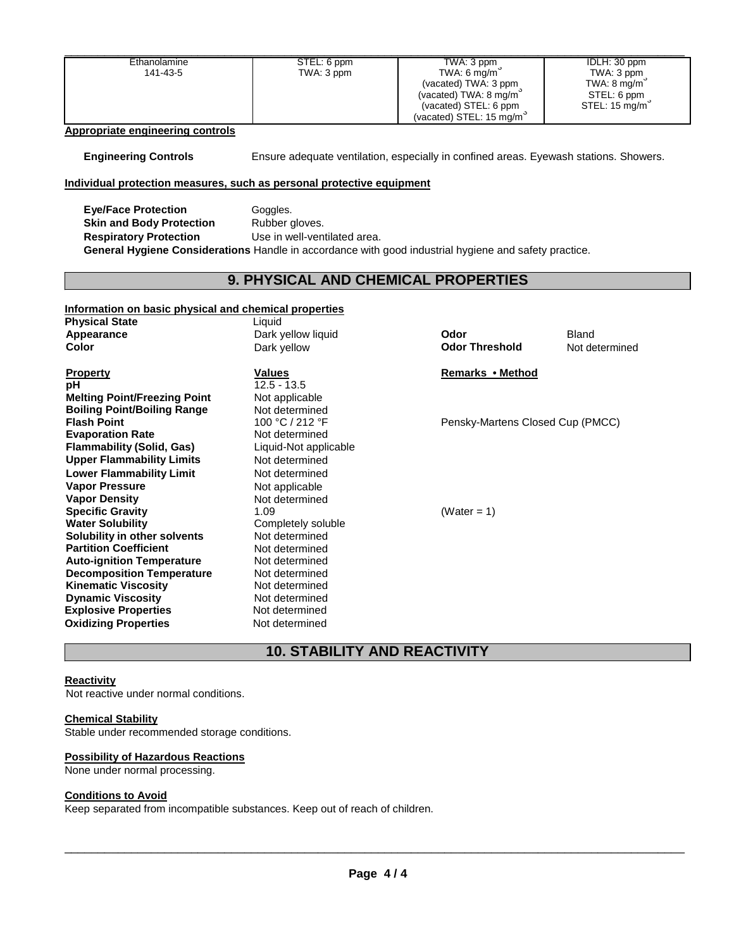| Ethanolamine                                                                                          | STEL: 6 ppm                         | TWA: 3 ppm                                                                            | IDLH: 30 ppm   |
|-------------------------------------------------------------------------------------------------------|-------------------------------------|---------------------------------------------------------------------------------------|----------------|
| 141-43-5                                                                                              | TWA: 3 ppm                          | TWA: 6 mg/m $3$                                                                       | TWA: 3 ppm     |
|                                                                                                       |                                     | (vacated) TWA: 3 ppm                                                                  | TWA: 8 mg/m    |
|                                                                                                       |                                     | (vacated) TWA: 8 mg/m                                                                 | STEL: 6 ppm    |
|                                                                                                       |                                     | (vacated) STEL: 6 ppm<br>(vacated) STEL: 15 mg/m <sup>3</sup>                         | STEL: 15 mg/m  |
| <b>Appropriate engineering controls</b>                                                               |                                     |                                                                                       |                |
|                                                                                                       |                                     |                                                                                       |                |
| <b>Engineering Controls</b>                                                                           |                                     | Ensure adequate ventilation, especially in confined areas. Eyewash stations. Showers. |                |
| Individual protection measures, such as personal protective equipment                                 |                                     |                                                                                       |                |
| <b>Eye/Face Protection</b>                                                                            | Goggles.                            |                                                                                       |                |
| <b>Skin and Body Protection</b>                                                                       | Rubber gloves.                      |                                                                                       |                |
| <b>Respiratory Protection</b>                                                                         | Use in well-ventilated area.        |                                                                                       |                |
| General Hygiene Considerations Handle in accordance with good industrial hygiene and safety practice. |                                     |                                                                                       |                |
|                                                                                                       |                                     |                                                                                       |                |
|                                                                                                       | 9. PHYSICAL AND CHEMICAL PROPERTIES |                                                                                       |                |
|                                                                                                       |                                     |                                                                                       |                |
| Information on basic physical and chemical properties                                                 |                                     |                                                                                       |                |
| <b>Physical State</b>                                                                                 | Liquid                              |                                                                                       |                |
| Appearance                                                                                            | Dark yellow liquid                  | Odor                                                                                  | Bland          |
| <b>Color</b>                                                                                          | Dark yellow                         | <b>Odor Threshold</b>                                                                 | Not determined |
| <b>Property</b>                                                                                       | <b>Values</b>                       | Remarks • Method                                                                      |                |
| $12.5 - 13.5$<br>pН                                                                                   |                                     |                                                                                       |                |
| <b>Melting Point/Freezing Point</b>                                                                   | Not applicable                      |                                                                                       |                |
| <b>Boiling Point/Boiling Range</b><br>Not determined                                                  |                                     |                                                                                       |                |
| <b>Flash Point</b>                                                                                    | 100 °C / 212 °F                     | Pensky-Martens Closed Cup (PMCC)                                                      |                |
| <b>Evaporation Rate</b>                                                                               | Not determined                      |                                                                                       |                |
| <b>Flammability (Solid, Gas)</b>                                                                      | Liquid-Not applicable               |                                                                                       |                |
| <b>Upper Flammability Limits</b>                                                                      | Not determined                      |                                                                                       |                |
| <b>Lower Flammability Limit</b>                                                                       | Not determined                      |                                                                                       |                |
| <b>Vapor Pressure</b>                                                                                 | Not applicable                      |                                                                                       |                |
| <b>Vapor Density</b>                                                                                  | Not determined                      |                                                                                       |                |
| <b>Specific Gravity</b>                                                                               | 1.09                                | (Water = 1)                                                                           |                |
| <b>Water Solubility</b>                                                                               | Completely soluble                  |                                                                                       |                |
| Solubility in other solvents                                                                          | Not determined                      |                                                                                       |                |
| <b>Partition Coefficient</b>                                                                          | Not determined                      |                                                                                       |                |
| <b>Auto-ignition Temperature</b>                                                                      | Not determined                      |                                                                                       |                |
| <b>Decomposition Temperature</b>                                                                      | Not determined                      |                                                                                       |                |
| <b>Kinematic Viscosity</b>                                                                            | Not determined                      |                                                                                       |                |
| <b>Dynamic Viscosity</b>                                                                              | Not determined                      |                                                                                       |                |
| <b>Explosive Properties</b>                                                                           | Not determined                      |                                                                                       |                |
| <b>Oxidizing Properties</b>                                                                           | Not determined                      |                                                                                       |                |
|                                                                                                       |                                     |                                                                                       |                |
|                                                                                                       | <b>10. STABILITY AND REACTIVITY</b> |                                                                                       |                |

## **Reactivity**

Not reactive under normal conditions.

#### **Chemical Stability**

Stable under recommended storage conditions.

#### **Possibility of Hazardous Reactions**

None under normal processing.

#### **Conditions to Avoid**

Keep separated from incompatible substances. Keep out of reach of children.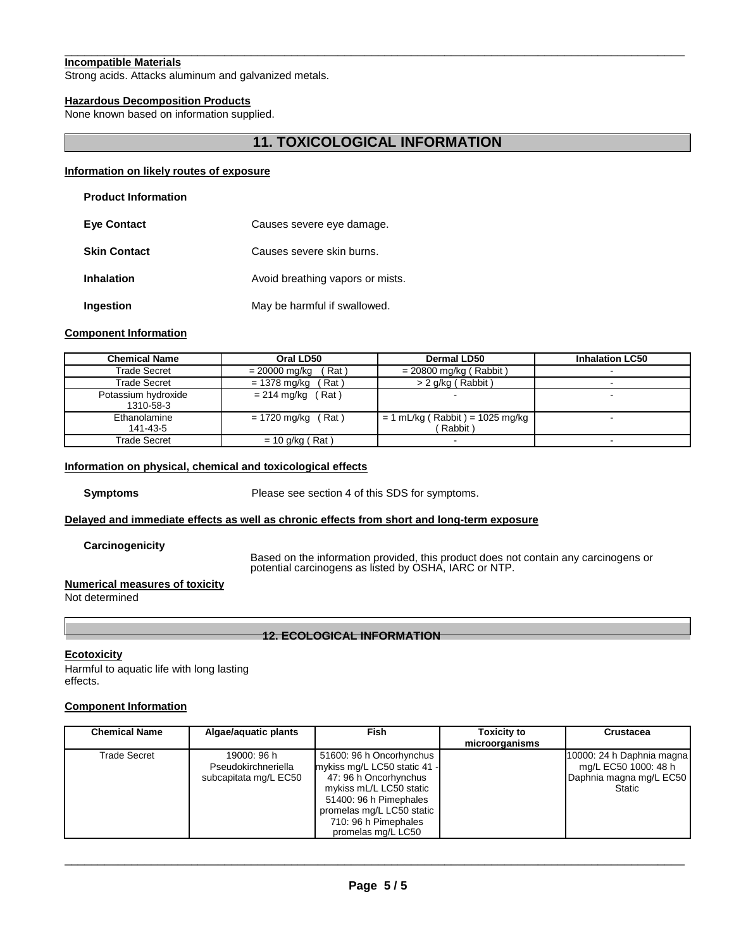#### \_\_\_\_\_\_\_\_\_\_\_\_\_\_\_\_\_\_\_\_\_\_\_\_\_\_\_\_\_\_\_\_\_\_\_\_\_\_\_\_\_\_\_\_\_\_\_\_\_\_\_\_\_\_\_\_\_\_\_\_\_\_\_\_\_\_\_\_\_\_\_\_\_\_\_\_\_\_\_\_\_\_\_\_\_\_\_\_\_\_\_\_\_ **Incompatible Materials**

Strong acids. Attacks aluminum and galvanized metals.

#### **Hazardous Decomposition Products**

None known based on information supplied.

## **11. TOXICOLOGICAL INFORMATION**

#### **Information on likely routes of exposure**

| <b>Eve Contact</b>  | Causes severe eye damage.        |
|---------------------|----------------------------------|
| <b>Skin Contact</b> | Causes severe skin burns.        |
| <b>Inhalation</b>   | Avoid breathing vapors or mists. |
| <b>Ingestion</b>    | May be harmful if swallowed.     |

#### **Component Information**

| <b>Chemical Name</b>             | Oral LD50                 | <b>Dermal LD50</b>                           | <b>Inhalation LC50</b> |
|----------------------------------|---------------------------|----------------------------------------------|------------------------|
| Trade Secret                     | ˈRat )<br>$= 20000$ mg/kg | $= 20800$ mg/kg (Rabbit)                     |                        |
| Trade Secret                     | $= 1378$ mg/kg<br>Rat)    | $> 2$ g/kg (Rabbit)                          |                        |
| Potassium hydroxide<br>1310-58-3 | $= 214$ mg/kg (Rat)       |                                              |                        |
| Ethanolamine<br>141-43-5         | $= 1720$ mg/kg (Rat)      | $= 1$ mL/kg (Rabbit) = 1025 mg/kg<br>Rabbit) | $\blacksquare$         |
| Trade Secret                     | $= 10$ g/kg (Rat)         |                                              |                        |

#### **Information on physical, chemical and toxicological effects**

**Symptoms** Please see section 4 of this SDS for symptoms.

#### **Delayed and immediate effects as well as chronic effects from short and long-term exposure**

**Carcinogenicity**

Based on the information provided, this product does not contain any carcinogens or potential carcinogens as listed by OSHA, IARC or NTP.

#### **Numerical measures of toxicity**

Not determined

**12. ECOLOGICAL INFORMATION**

#### **Ecotoxicity**

Harmful to aquatic life with long lasting effects.

#### **Component Information**

| <b>Chemical Name</b> | Algae/aguatic plants                                        | <b>Fish</b>                                                                                                                                                                                                       | Toxicity to<br>microorganisms | <b>Crustacea</b>                                                                       |
|----------------------|-------------------------------------------------------------|-------------------------------------------------------------------------------------------------------------------------------------------------------------------------------------------------------------------|-------------------------------|----------------------------------------------------------------------------------------|
| <b>Trade Secret</b>  | 19000: 96 h<br>Pseudokirchneriella<br>subcapitata mg/L EC50 | 51600: 96 h Oncorhynchus<br>mykiss mg/L LC50 static 41 -<br>47: 96 h Oncorhynchus<br>mykiss mL/L LC50 static<br>51400: 96 h Pimephales<br>promelas mg/L LC50 static<br>710: 96 h Pimephales<br>promelas mg/L LC50 |                               | 10000: 24 h Daphnia magna<br>mg/L EC50 1000: 48 h<br>Daphnia magna mg/L EC50<br>Static |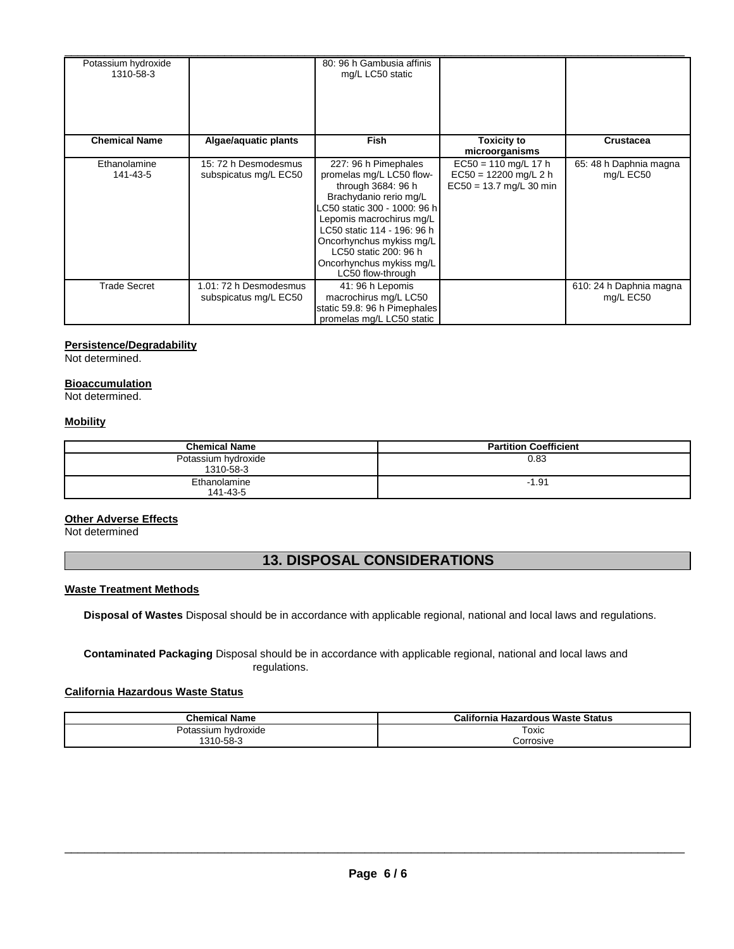| Potassium hydroxide<br>1310-58-3 |                                                 | 80: 96 h Gambusia affinis<br>mg/L LC50 static                                                                                                                                                                                                                                                    |                                                                                |                                      |
|----------------------------------|-------------------------------------------------|--------------------------------------------------------------------------------------------------------------------------------------------------------------------------------------------------------------------------------------------------------------------------------------------------|--------------------------------------------------------------------------------|--------------------------------------|
| <b>Chemical Name</b>             | Algae/aquatic plants                            | Fish                                                                                                                                                                                                                                                                                             | Toxicity to<br>microorganisms                                                  | <b>Crustacea</b>                     |
| Ethanolamine<br>141-43-5         | 15: 72 h Desmodesmus<br>subspicatus mg/L EC50   | 227: 96 h Pimephales<br>promelas mg/L LC50 flow-<br>through 3684: 96 h<br>Brachydanio rerio mg/L<br>C50 static 300 - 1000: 96 h<br>Lepomis macrochirus mg/L<br>LC50 static 114 - 196: 96 h<br>Oncorhynchus mykiss mg/L<br>LC50 static 200: 96 h<br>Oncorhynchus mykiss mg/L<br>LC50 flow-through | $EC50 = 110$ mg/L 17 h<br>$EC50 = 12200$ mg/L 2 h<br>$EC50 = 13.7$ mg/L 30 min | 65: 48 h Daphnia magna<br>mg/L EC50  |
| <b>Trade Secret</b>              | 1.01: 72 h Desmodesmus<br>subspicatus mg/L EC50 | 41: 96 h Lepomis<br>macrochirus mg/L LC50<br>static 59.8: 96 h Pimephales<br>promelas mg/L LC50 static                                                                                                                                                                                           |                                                                                | 610: 24 h Daphnia magna<br>mg/L EC50 |

## **Persistence/Degradability**

Not determined.

#### **Bioaccumulation**

Not determined.

## **Mobility**

| Chemical Name                    | <b>Partition Coefficient</b> |
|----------------------------------|------------------------------|
| Potassium hydroxide<br>1310-58-3 | 0.83                         |
| Ethanolamine<br>141-43-5         | $-1.91$                      |

#### **Other Adverse Effects**

Not determined

# **13. DISPOSAL CONSIDERATIONS**

#### **Waste Treatment Methods**

**Disposal of Wastes** Disposal should be in accordance with applicable regional, national and local laws and regulations.

**Contaminated Packaging** Disposal should be in accordance with applicable regional, national and local laws and regulations.

## **California Hazardous Waste Status**

| <b>Chemical Name</b>   | California Hazardous Waste Status |
|------------------------|-----------------------------------|
| Potassium<br>hvdroxide | Toxic                             |
| 1310-58-3              | Corrosive                         |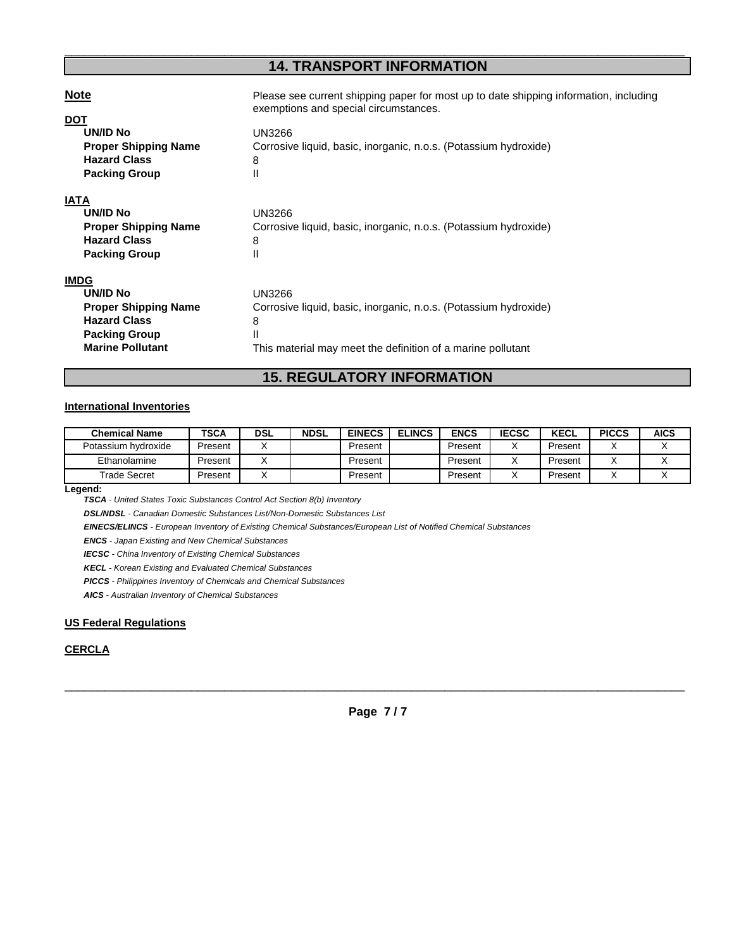## \_\_\_\_\_\_\_\_\_\_\_\_\_\_\_\_\_\_\_\_\_\_\_\_\_\_\_\_\_\_\_\_\_\_\_\_\_\_\_\_\_\_\_\_\_\_\_\_\_\_\_\_\_\_\_\_\_\_\_\_\_\_\_\_\_\_\_\_\_\_\_\_\_\_\_\_\_\_\_\_\_\_\_\_\_\_\_\_\_\_\_\_\_ **14. TRANSPORT INFORMATION**

| <b>Note</b>                                                                                                                      | Please see current shipping paper for most up to date shipping information, including                                                               |
|----------------------------------------------------------------------------------------------------------------------------------|-----------------------------------------------------------------------------------------------------------------------------------------------------|
| <b>DOT</b>                                                                                                                       | exemptions and special circumstances.                                                                                                               |
| <b>UN/ID No</b>                                                                                                                  | <b>UN3266</b>                                                                                                                                       |
| <b>Proper Shipping Name</b>                                                                                                      | Corrosive liquid, basic, inorganic, n.o.s. (Potassium hydroxide)                                                                                    |
| <b>Hazard Class</b>                                                                                                              | 8                                                                                                                                                   |
| <b>Packing Group</b>                                                                                                             | Ш                                                                                                                                                   |
| <b>IATA</b><br><b>UN/ID No</b><br><b>Proper Shipping Name</b><br><b>Hazard Class</b><br><b>Packing Group</b>                     | <b>UN3266</b><br>Corrosive liquid, basic, inorganic, n.o.s. (Potassium hydroxide)<br>8<br>Ш                                                         |
| <b>IMDG</b><br>UN/ID No<br><b>Proper Shipping Name</b><br><b>Hazard Class</b><br><b>Packing Group</b><br><b>Marine Pollutant</b> | UN3266<br>Corrosive liquid, basic, inorganic, n.o.s. (Potassium hydroxide)<br>8<br>Ш<br>This material may meet the definition of a marine pollutant |

## **15. REGULATORY INFORMATION**

#### **International Inventories**

| <b>Chemical Name</b> | TSCA    | <b>DSL</b> | <b>NDSL</b> | <b>EINECS</b> | <b>ELINCS</b> | <b>ENCS</b> | <b>IECSC</b> | <b>KECL</b> | <b>PICCS</b> | AICS |
|----------------------|---------|------------|-------------|---------------|---------------|-------------|--------------|-------------|--------------|------|
| Potassium hydroxide  | Present |            |             | Present       |               | Present     |              | Present     |              |      |
| Ethanolamine         | Present |            |             | Present       |               | Present     |              | Present     |              |      |
| <b>Trade Secret</b>  | Present |            |             | Present       |               | Present     |              | Present     |              |      |

**Legend:**

**TSCA** - United States Toxic Substances Control Act Section 8(b) Inventory

**DSL/NDSL** - Canadian Domestic Substances List/Non-Domestic Substances List

**EINECS/ELINCS** - European Inventory of Existing Chemical Substances/European List of Notified Chemical Substances

**ENCS** - Japan Existing and New Chemical Substances

**IECSC** - China Inventory of Existing Chemical Substances

**KECL** - Korean Existing and Evaluated Chemical Substances

**PICCS** - Philippines Inventory of Chemicals and Chemical Substances

**AICS** - Australian Inventory of Chemical Substances

#### **US Federal Regulations**

## **CERCLA**